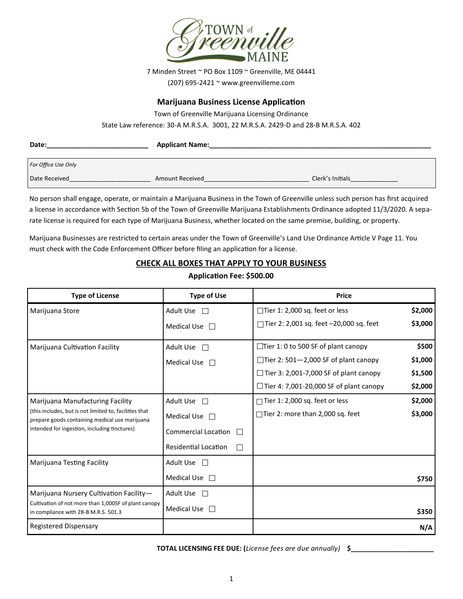

7 Minden Street ~ PO Box 1109 ~ Greenville, ME 04441 (207) 695-2421 ~ www.greenvilleme.com

#### **Marijuana Business License Application**

Town of Greenville Marijuana Licensing Ordinance

State Law reference: 30-A M.R.S.A. 3001, 22 M.R.S.A. 2429-D and 28-B M.R.S.A. 402

| Date:               | <b>Applicant Name:</b> |                  |
|---------------------|------------------------|------------------|
| For Office Use Only |                        |                  |
| Date Received       | <b>Amount Received</b> | Clerk's Initials |

No person shall engage, operate, or maintain a Marijuana Business in the Town of Greenville unless such person has first acquired a license in accordance with Section 5b of the Town of Greenville Marijuana Establishments Ordinance adopted 11/3/2020. A separate license is required for each type of Marijuana Business, whether located on the same premise, building, or property.

Marijuana Businesses are restricted to certain areas under the Town of Greenville's Land Use Ordinance Article V Page 11. You must check with the Code Enforcement Officer before filing an application for a license.

#### **CHECK ALL BOXES THAT APPLY TO YOUR BUSINESS**

#### **Application Fee: \$500.00**

| <b>Type of License</b>                                                                                   | <b>Type of Use</b>          | <b>Price</b>                                   |         |
|----------------------------------------------------------------------------------------------------------|-----------------------------|------------------------------------------------|---------|
| Marijuana Store                                                                                          | Adult Use □                 | $\Box$ Tier 1: 2,000 sq. feet or less          | \$2,000 |
|                                                                                                          | Medical Use $\Box$          | □ Tier 2: 2,001 sq. feet $-20,000$ sq. feet    | \$3,000 |
| Marijuana Cultivation Facility                                                                           | Adult Use                   | $\Box$ Tier 1: 0 to 500 SF of plant canopy     | \$500   |
|                                                                                                          | <b>Medical Use</b>          | $\Box$ Tier 2: 501-2,000 SF of plant canopy    | \$1,000 |
|                                                                                                          |                             | $\Box$ Tier 3: 2,001-7,000 SF of plant canopy  | \$1,500 |
|                                                                                                          |                             | $\Box$ Tier 4: 7,001-20,000 SF of plant canopy | \$2,000 |
| Marijuana Manufacturing Facility                                                                         | Adult Use<br>$\Box$         | Tier 1: 2,000 sq. feet or less                 | \$2,000 |
| (this includes, but is not limited to, facilities that<br>prepare goods containing medical use marijuana | Medical Use $\Box$          | $\Box$ Tier 2: more than 2,000 sq. feet        | \$3,000 |
| intended for ingestion, including tinctures)                                                             | <b>Commercial Location</b>  |                                                |         |
|                                                                                                          | <b>Residential Location</b> |                                                |         |
| Marijuana Testing Facility                                                                               | Adult Use $\square$         |                                                |         |
|                                                                                                          | Medical Use $\Box$          |                                                | \$750   |
| Marijuana Nursery Cultivation Facility-                                                                  | Adult Use $\Box$            |                                                |         |
| Cultivation of not more than 1,000SF of plant canopy<br>in compliance with 28-B M.R.S. 501.3             | Medical Use $\Box$          |                                                | \$350   |
| <b>Registered Dispensary</b>                                                                             |                             |                                                | N/A     |

**TOTAL LICENSING FEE DUE: (***License fees are due annually)* **\$\_\_\_\_\_\_\_\_\_\_\_\_\_\_\_\_\_\_\_\_\_\_**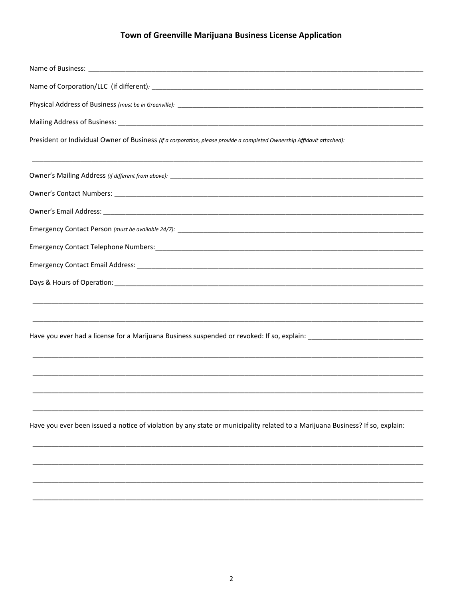| President or Individual Owner of Business (if a corporation, please provide a completed Ownership Affidavit attached):                                                                                                         |
|--------------------------------------------------------------------------------------------------------------------------------------------------------------------------------------------------------------------------------|
|                                                                                                                                                                                                                                |
|                                                                                                                                                                                                                                |
|                                                                                                                                                                                                                                |
|                                                                                                                                                                                                                                |
|                                                                                                                                                                                                                                |
| Emergency Contact Email Address: North American Control of the Control of the Control of the Control of the Control of the Control of the Control of the Control of the Control of the Control of the Control of the Control o |
|                                                                                                                                                                                                                                |
|                                                                                                                                                                                                                                |
|                                                                                                                                                                                                                                |
|                                                                                                                                                                                                                                |
|                                                                                                                                                                                                                                |
|                                                                                                                                                                                                                                |
|                                                                                                                                                                                                                                |
|                                                                                                                                                                                                                                |
| Have you ever been issued a notice of violation by any state or municipality related to a Marijuana Business? If so, explain:                                                                                                  |
|                                                                                                                                                                                                                                |
|                                                                                                                                                                                                                                |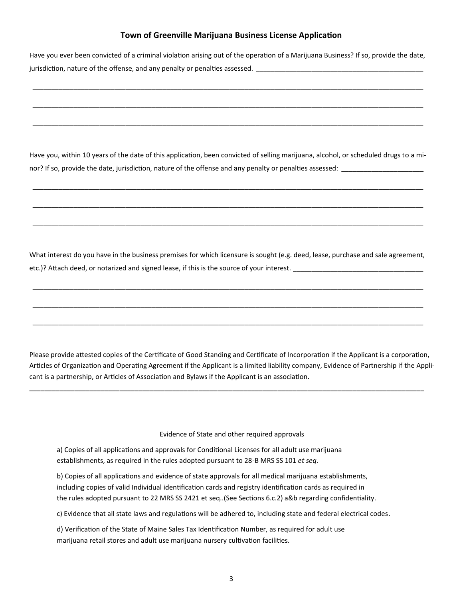Have you ever been convicted of a criminal violation arising out of the operation of a Marijuana Business? If so, provide the date, jurisdiction, nature of the offense, and any penalty or penalties assessed. \_\_

\_\_\_\_\_\_\_\_\_\_\_\_\_\_\_\_\_\_\_\_\_\_\_\_\_\_\_\_\_\_\_\_\_\_\_\_\_\_\_\_\_\_\_\_\_\_\_\_\_\_\_\_\_\_\_\_\_\_\_\_\_\_\_\_\_\_\_\_\_\_\_\_\_\_\_\_\_\_\_\_\_\_\_\_\_\_\_\_\_\_\_\_\_\_\_\_\_\_\_\_\_\_\_\_\_

\_\_\_\_\_\_\_\_\_\_\_\_\_\_\_\_\_\_\_\_\_\_\_\_\_\_\_\_\_\_\_\_\_\_\_\_\_\_\_\_\_\_\_\_\_\_\_\_\_\_\_\_\_\_\_\_\_\_\_\_\_\_\_\_\_\_\_\_\_\_\_\_\_\_\_\_\_\_\_\_\_\_\_\_\_\_\_\_\_\_\_\_\_\_\_\_\_\_\_\_\_\_\_\_\_

\_\_\_\_\_\_\_\_\_\_\_\_\_\_\_\_\_\_\_\_\_\_\_\_\_\_\_\_\_\_\_\_\_\_\_\_\_\_\_\_\_\_\_\_\_\_\_\_\_\_\_\_\_\_\_\_\_\_\_\_\_\_\_\_\_\_\_\_\_\_\_\_\_\_\_\_\_\_\_\_\_\_\_\_\_\_\_\_\_\_\_\_\_\_\_\_\_\_\_\_\_\_\_\_\_

Have you, within 10 years of the date of this application, been convicted of selling marijuana, alcohol, or scheduled drugs to a minor? If so, provide the date, jurisdiction, nature of the offense and any penalty or penalties assessed:

\_\_\_\_\_\_\_\_\_\_\_\_\_\_\_\_\_\_\_\_\_\_\_\_\_\_\_\_\_\_\_\_\_\_\_\_\_\_\_\_\_\_\_\_\_\_\_\_\_\_\_\_\_\_\_\_\_\_\_\_\_\_\_\_\_\_\_\_\_\_\_\_\_\_\_\_\_\_\_\_\_\_\_\_\_\_\_\_\_\_\_\_\_\_\_\_\_\_\_\_\_\_\_\_\_

\_\_\_\_\_\_\_\_\_\_\_\_\_\_\_\_\_\_\_\_\_\_\_\_\_\_\_\_\_\_\_\_\_\_\_\_\_\_\_\_\_\_\_\_\_\_\_\_\_\_\_\_\_\_\_\_\_\_\_\_\_\_\_\_\_\_\_\_\_\_\_\_\_\_\_\_\_\_\_\_\_\_\_\_\_\_\_\_\_\_\_\_\_\_\_\_\_\_\_\_\_\_\_\_\_

\_\_\_\_\_\_\_\_\_\_\_\_\_\_\_\_\_\_\_\_\_\_\_\_\_\_\_\_\_\_\_\_\_\_\_\_\_\_\_\_\_\_\_\_\_\_\_\_\_\_\_\_\_\_\_\_\_\_\_\_\_\_\_\_\_\_\_\_\_\_\_\_\_\_\_\_\_\_\_\_\_\_\_\_\_\_\_\_\_\_\_\_\_\_\_\_\_\_\_\_\_\_\_\_\_

What interest do you have in the business premises for which licensure is sought (e.g. deed, lease, purchase and sale agreement, etc.)? Attach deed, or notarized and signed lease, if this is the source of your interest.

\_\_\_\_\_\_\_\_\_\_\_\_\_\_\_\_\_\_\_\_\_\_\_\_\_\_\_\_\_\_\_\_\_\_\_\_\_\_\_\_\_\_\_\_\_\_\_\_\_\_\_\_\_\_\_\_\_\_\_\_\_\_\_\_\_\_\_\_\_\_\_\_\_\_\_\_\_\_\_\_\_\_\_\_\_\_\_\_\_\_\_\_\_\_\_\_\_\_\_\_\_\_\_\_\_

\_\_\_\_\_\_\_\_\_\_\_\_\_\_\_\_\_\_\_\_\_\_\_\_\_\_\_\_\_\_\_\_\_\_\_\_\_\_\_\_\_\_\_\_\_\_\_\_\_\_\_\_\_\_\_\_\_\_\_\_\_\_\_\_\_\_\_\_\_\_\_\_\_\_\_\_\_\_\_\_\_\_\_\_\_\_\_\_\_\_\_\_\_\_\_\_\_\_\_\_\_\_\_\_\_

\_\_\_\_\_\_\_\_\_\_\_\_\_\_\_\_\_\_\_\_\_\_\_\_\_\_\_\_\_\_\_\_\_\_\_\_\_\_\_\_\_\_\_\_\_\_\_\_\_\_\_\_\_\_\_\_\_\_\_\_\_\_\_\_\_\_\_\_\_\_\_\_\_\_\_\_\_\_\_\_\_\_\_\_\_\_\_\_\_\_\_\_\_\_\_\_\_\_\_\_\_\_\_\_\_

Please provide attested copies of the Certificate of Good Standing and Certificate of Incorporation if the Applicant is a corporation, Articles of Organization and Operating Agreement if the Applicant is a limited liability company, Evidence of Partnership if the Applicant is a partnership, or Articles of Association and Bylaws if the Applicant is an association.

\_\_\_\_\_\_\_\_\_\_\_\_\_\_\_\_\_\_\_\_\_\_\_\_\_\_\_\_\_\_\_\_\_\_\_\_\_\_\_\_\_\_\_\_\_\_\_\_\_\_\_\_\_\_\_\_\_\_\_\_\_\_\_\_\_\_\_\_\_\_\_\_\_\_\_\_\_\_\_\_\_\_\_\_\_\_\_\_\_\_\_\_\_\_\_\_\_\_\_\_\_\_\_\_\_

Evidence of State and other required approvals

 a) Copies of all applications and approvals for Conditional Licenses for all adult use marijuana establishments, as required in the rules adopted pursuant to 28-B MRS SS 101 *et seq.*

 b) Copies of all applications and evidence of state approvals for all medical marijuana establishments, including copies of valid Individual identification cards and registry identification cards as required in the rules adopted pursuant to 22 MRS SS 2421 et seq..(See Sections 6.c.2) a&b regarding confidentiality.

c) Evidence that all state laws and regulations will be adhered to, including state and federal electrical codes.

 d) Verification of the State of Maine Sales Tax Identification Number, as required for adult use marijuana retail stores and adult use marijuana nursery cultivation facilities.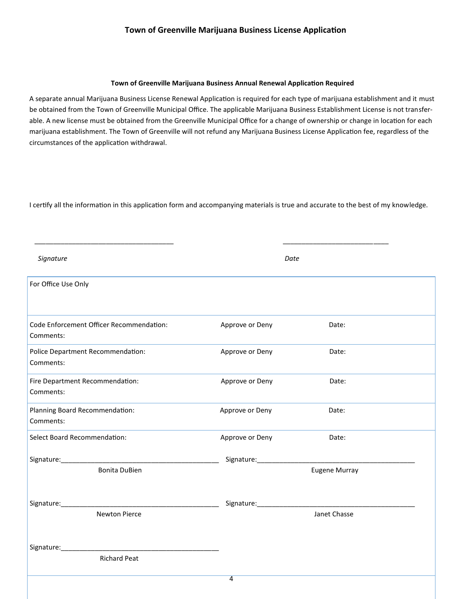#### **Town of Greenville Marijuana Business Annual Renewal Application Required**

A separate annual Marijuana Business License Renewal Application is required for each type of marijuana establishment and it must be obtained from the Town of Greenville Municipal Office. The applicable Marijuana Business Establishment License is not transferable. A new license must be obtained from the Greenville Municipal Office for a change of ownership or change in location for each marijuana establishment. The Town of Greenville will not refund any Marijuana Business License Application fee, regardless of the circumstances of the application withdrawal.

I certify all the information in this application form and accompanying materials is true and accurate to the best of my knowledge.

 $\overline{\phantom{a}}$  , and the contribution of the contribution of the contribution of the contribution of the contribution of the contribution of the contribution of the contribution of the contribution of the contribution of the

| Signature                                             |                              | Date          |
|-------------------------------------------------------|------------------------------|---------------|
| For Office Use Only                                   |                              |               |
| Code Enforcement Officer Recommendation:<br>Comments: | Approve or Deny              | Date:         |
| Police Department Recommendation:<br>Comments:        | Approve or Deny              | Date:         |
| Fire Department Recommendation:<br>Comments:          | Approve or Deny              | Date:         |
| Planning Board Recommendation:<br>Comments:           | Approve or Deny              | Date:         |
| Select Board Recommendation:                          | Approve or Deny              | Date:         |
|                                                       |                              |               |
| <b>Bonita DuBien</b>                                  |                              | Eugene Murray |
| <b>Newton Pierce</b>                                  | Signature: _________________ | Janet Chasse  |
|                                                       |                              |               |
| <b>Richard Peat</b>                                   |                              |               |
|                                                       | $\overline{4}$               |               |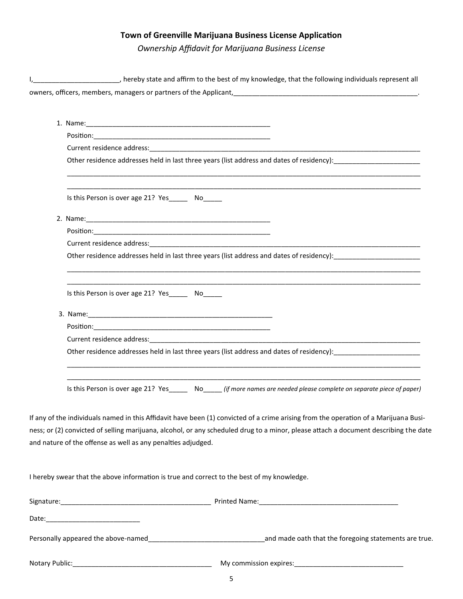*Ownership Affidavit for Marijuana Business License*

| thereby state and affirm to the best of my knowledge, that the following individuals represent all production of the best of my knowledge, that the following individuals represent all                                                                                                                                                      |
|----------------------------------------------------------------------------------------------------------------------------------------------------------------------------------------------------------------------------------------------------------------------------------------------------------------------------------------------|
| owners, officers, members, managers or partners of the Applicant, [10] production and the content of the Applicant,                                                                                                                                                                                                                          |
|                                                                                                                                                                                                                                                                                                                                              |
| 1. Name: 1. 2008. 2008. 2010. 2010. 2010. 2010. 2010. 2010. 2010. 2010. 2010. 2010. 2010. 2010. 2010. 2010. 20                                                                                                                                                                                                                               |
|                                                                                                                                                                                                                                                                                                                                              |
|                                                                                                                                                                                                                                                                                                                                              |
|                                                                                                                                                                                                                                                                                                                                              |
| Is this Person is over age 21? Yes_______ No_____                                                                                                                                                                                                                                                                                            |
|                                                                                                                                                                                                                                                                                                                                              |
|                                                                                                                                                                                                                                                                                                                                              |
|                                                                                                                                                                                                                                                                                                                                              |
| Other residence addresses held in last three years (list address and dates of residency):                                                                                                                                                                                                                                                    |
| Is this Person is over age 21? Yes_______ No_____                                                                                                                                                                                                                                                                                            |
|                                                                                                                                                                                                                                                                                                                                              |
|                                                                                                                                                                                                                                                                                                                                              |
|                                                                                                                                                                                                                                                                                                                                              |
| Other residence addresses held in last three years (list address and dates of residency):                                                                                                                                                                                                                                                    |
| Is this Person is over age 21? Yes No <i>Igmore names are needed please complete on separate piece of paper</i> )                                                                                                                                                                                                                            |
| If any of the individuals named in this Affidavit have been (1) convicted of a crime arising from the operation of a Marijuana Busi-<br>ness; or (2) convicted of selling marijuana, alcohol, or any scheduled drug to a minor, please attach a document describing the date<br>and nature of the offense as well as any penalties adjudged. |
| I hereby swear that the above information is true and correct to the best of my knowledge.                                                                                                                                                                                                                                                   |
|                                                                                                                                                                                                                                                                                                                                              |
|                                                                                                                                                                                                                                                                                                                                              |
|                                                                                                                                                                                                                                                                                                                                              |

Notary Public:\_\_\_\_\_\_\_\_\_\_\_\_\_\_\_\_\_\_\_\_\_\_\_\_\_\_\_\_\_\_\_\_\_\_\_\_\_ My commission expires:\_\_\_\_\_\_\_\_\_\_\_\_\_\_\_\_\_\_\_\_\_\_\_\_\_\_\_\_\_